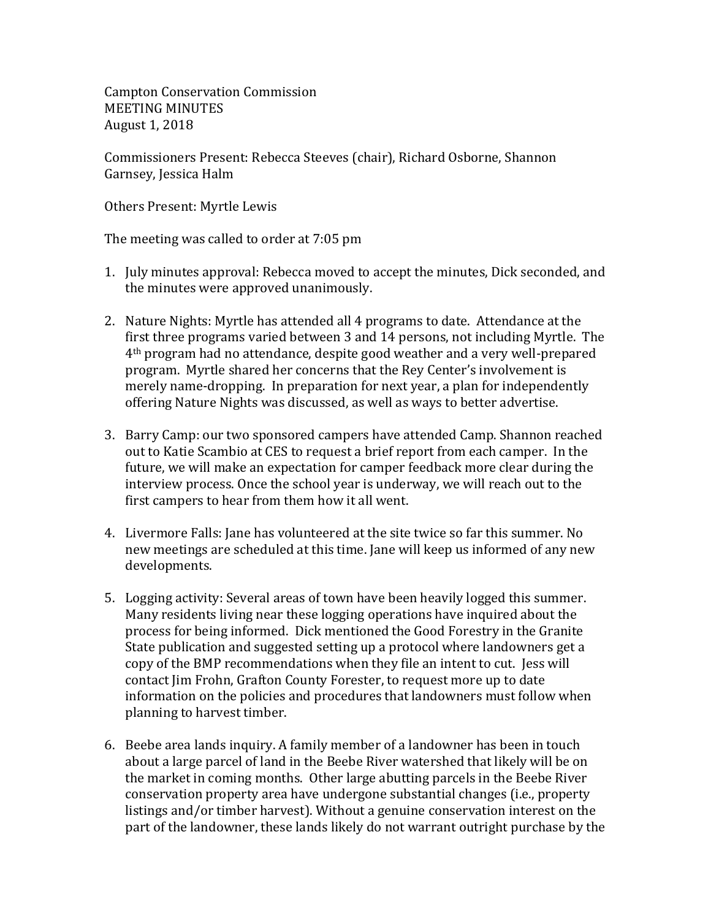Campton Conservation Commission MEETING MINUTES August 1, 2018

Commissioners Present: Rebecca Steeves (chair), Richard Osborne, Shannon Garnsey, Jessica Halm

Others Present: Myrtle Lewis

The meeting was called to order at 7:05 pm

- 1. July minutes approval: Rebecca moved to accept the minutes, Dick seconded, and the minutes were approved unanimously.
- 2. Nature Nights: Myrtle has attended all 4 programs to date. Attendance at the first three programs varied between 3 and 14 persons, not including Myrtle. The 4th program had no attendance, despite good weather and a very well-prepared program. Myrtle shared her concerns that the Rey Center's involvement is merely name-dropping. In preparation for next year, a plan for independently offering Nature Nights was discussed, as well as ways to better advertise.
- 3. Barry Camp: our two sponsored campers have attended Camp. Shannon reached out to Katie Scambio at CES to request a brief report from each camper. In the future, we will make an expectation for camper feedback more clear during the interview process. Once the school year is underway, we will reach out to the first campers to hear from them how it all went.
- 4. Livermore Falls: Jane has volunteered at the site twice so far this summer. No new meetings are scheduled at this time. Jane will keep us informed of any new developments.
- 5. Logging activity: Several areas of town have been heavily logged this summer. Many residents living near these logging operations have inquired about the process for being informed. Dick mentioned the Good Forestry in the Granite State publication and suggested setting up a protocol where landowners get a copy of the BMP recommendations when they file an intent to cut. Jess will contact Jim Frohn, Grafton County Forester, to request more up to date information on the policies and procedures that landowners must follow when planning to harvest timber.
- 6. Beebe area lands inquiry. A family member of a landowner has been in touch about a large parcel of land in the Beebe River watershed that likely will be on the market in coming months. Other large abutting parcels in the Beebe River conservation property area have undergone substantial changes (i.e., property listings and/or timber harvest). Without a genuine conservation interest on the part of the landowner, these lands likely do not warrant outright purchase by the